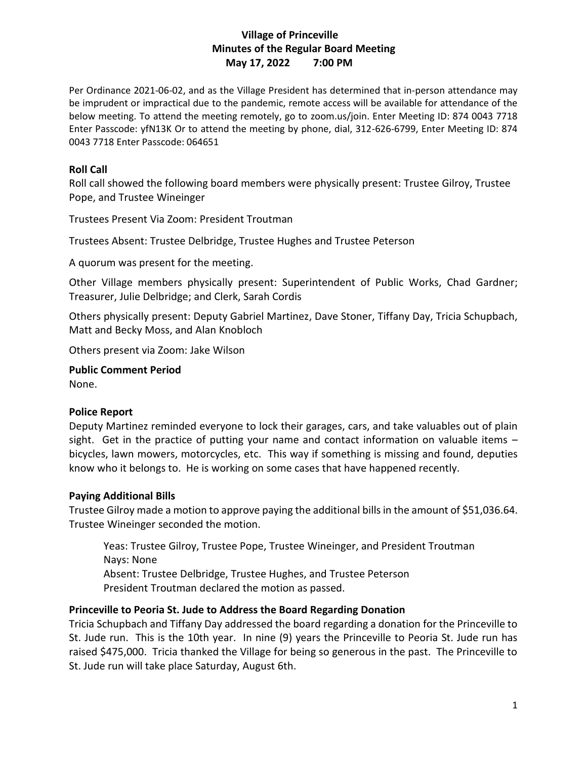### **Village of Princeville Minutes of the Regular Board Meeting May 17, 2022 7:00 PM**

Per Ordinance 2021-06-02, and as the Village President has determined that in-person attendance may be imprudent or impractical due to the pandemic, remote access will be available for attendance of the below meeting. To attend the meeting remotely, go to zoom.us/join. Enter Meeting ID: 874 0043 7718 Enter Passcode: yfN13K Or to attend the meeting by phone, dial, 312-626-6799, Enter Meeting ID: 874 0043 7718 Enter Passcode: 064651

#### **Roll Call**

Roll call showed the following board members were physically present: Trustee Gilroy, Trustee Pope, and Trustee Wineinger

Trustees Present Via Zoom: President Troutman

Trustees Absent: Trustee Delbridge, Trustee Hughes and Trustee Peterson

A quorum was present for the meeting.

Other Village members physically present: Superintendent of Public Works, Chad Gardner; Treasurer, Julie Delbridge; and Clerk, Sarah Cordis

Others physically present: Deputy Gabriel Martinez, Dave Stoner, Tiffany Day, Tricia Schupbach, Matt and Becky Moss, and Alan Knobloch

Others present via Zoom: Jake Wilson

**Public Comment Period** None.

# **Police Report**

Deputy Martinez reminded everyone to lock their garages, cars, and take valuables out of plain sight. Get in the practice of putting your name and contact information on valuable items – bicycles, lawn mowers, motorcycles, etc. This way if something is missing and found, deputies know who it belongs to. He is working on some cases that have happened recently.

#### **Paying Additional Bills**

Trustee Gilroy made a motion to approve paying the additional bills in the amount of \$51,036.64. Trustee Wineinger seconded the motion.

Yeas: Trustee Gilroy, Trustee Pope, Trustee Wineinger, and President Troutman Nays: None Absent: Trustee Delbridge, Trustee Hughes, and Trustee Peterson President Troutman declared the motion as passed.

#### **Princeville to Peoria St. Jude to Address the Board Regarding Donation**

Tricia Schupbach and Tiffany Day addressed the board regarding a donation for the Princeville to St. Jude run. This is the 10th year. In nine (9) years the Princeville to Peoria St. Jude run has raised \$475,000. Tricia thanked the Village for being so generous in the past. The Princeville to St. Jude run will take place Saturday, August 6th.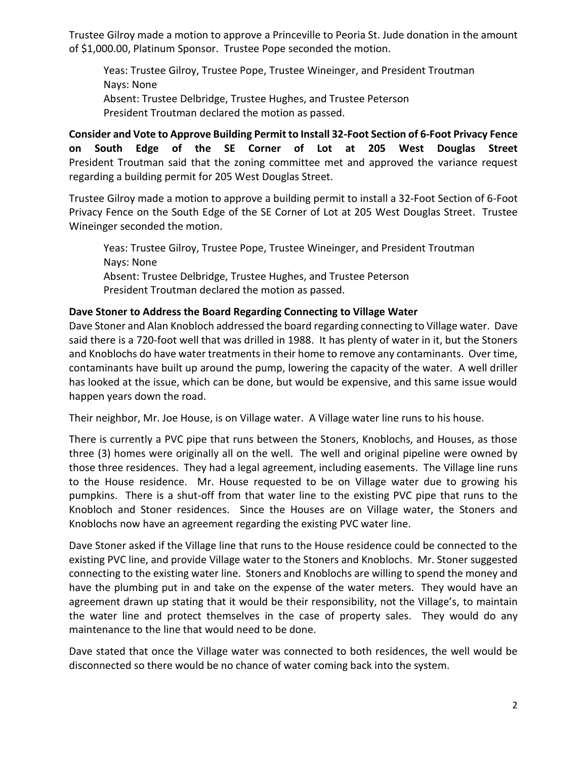Trustee Gilroy made a motion to approve a Princeville to Peoria St. Jude donation in the amount of \$1,000.00, Platinum Sponsor. Trustee Pope seconded the motion.

Yeas: Trustee Gilroy, Trustee Pope, Trustee Wineinger, and President Troutman Nays: None Absent: Trustee Delbridge, Trustee Hughes, and Trustee Peterson President Troutman declared the motion as passed.

**Consider and Vote to Approve Building Permit to Install 32-Foot Section of 6-Foot Privacy Fence on South Edge of the SE Corner of Lot at 205 West Douglas Street**  President Troutman said that the zoning committee met and approved the variance request regarding a building permit for 205 West Douglas Street.

Trustee Gilroy made a motion to approve a building permit to install a 32-Foot Section of 6-Foot Privacy Fence on the South Edge of the SE Corner of Lot at 205 West Douglas Street. Trustee Wineinger seconded the motion.

Yeas: Trustee Gilroy, Trustee Pope, Trustee Wineinger, and President Troutman Nays: None Absent: Trustee Delbridge, Trustee Hughes, and Trustee Peterson President Troutman declared the motion as passed.

#### **Dave Stoner to Address the Board Regarding Connecting to Village Water**

Dave Stoner and Alan Knobloch addressed the board regarding connecting to Village water. Dave said there is a 720-foot well that was drilled in 1988. It has plenty of water in it, but the Stoners and Knoblochs do have water treatments in their home to remove any contaminants. Over time, contaminants have built up around the pump, lowering the capacity of the water. A well driller has looked at the issue, which can be done, but would be expensive, and this same issue would happen years down the road.

Their neighbor, Mr. Joe House, is on Village water. A Village water line runs to his house.

There is currently a PVC pipe that runs between the Stoners, Knoblochs, and Houses, as those three (3) homes were originally all on the well. The well and original pipeline were owned by those three residences. They had a legal agreement, including easements. The Village line runs to the House residence. Mr. House requested to be on Village water due to growing his pumpkins. There is a shut-off from that water line to the existing PVC pipe that runs to the Knobloch and Stoner residences. Since the Houses are on Village water, the Stoners and Knoblochs now have an agreement regarding the existing PVC water line.

Dave Stoner asked if the Village line that runs to the House residence could be connected to the existing PVC line, and provide Village water to the Stoners and Knoblochs. Mr. Stoner suggested connecting to the existing water line. Stoners and Knoblochs are willing to spend the money and have the plumbing put in and take on the expense of the water meters. They would have an agreement drawn up stating that it would be their responsibility, not the Village's, to maintain the water line and protect themselves in the case of property sales. They would do any maintenance to the line that would need to be done.

Dave stated that once the Village water was connected to both residences, the well would be disconnected so there would be no chance of water coming back into the system.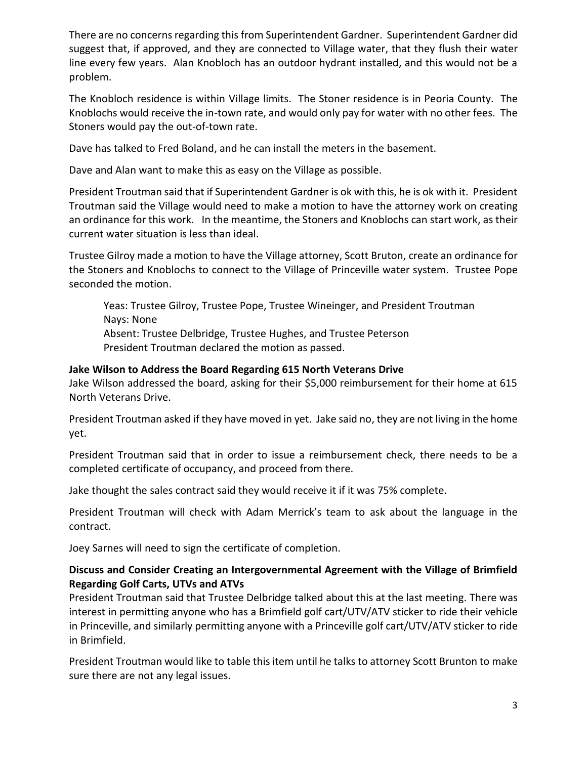There are no concerns regarding this from Superintendent Gardner. Superintendent Gardner did suggest that, if approved, and they are connected to Village water, that they flush their water line every few years. Alan Knobloch has an outdoor hydrant installed, and this would not be a problem.

The Knobloch residence is within Village limits. The Stoner residence is in Peoria County. The Knoblochs would receive the in-town rate, and would only pay for water with no other fees. The Stoners would pay the out-of-town rate.

Dave has talked to Fred Boland, and he can install the meters in the basement.

Dave and Alan want to make this as easy on the Village as possible.

President Troutman said that if Superintendent Gardner is ok with this, he is ok with it. President Troutman said the Village would need to make a motion to have the attorney work on creating an ordinance for this work. In the meantime, the Stoners and Knoblochs can start work, as their current water situation is less than ideal.

Trustee Gilroy made a motion to have the Village attorney, Scott Bruton, create an ordinance for the Stoners and Knoblochs to connect to the Village of Princeville water system. Trustee Pope seconded the motion.

Yeas: Trustee Gilroy, Trustee Pope, Trustee Wineinger, and President Troutman Nays: None Absent: Trustee Delbridge, Trustee Hughes, and Trustee Peterson President Troutman declared the motion as passed.

#### **Jake Wilson to Address the Board Regarding 615 North Veterans Drive**

Jake Wilson addressed the board, asking for their \$5,000 reimbursement for their home at 615 North Veterans Drive.

President Troutman asked if they have moved in yet. Jake said no, they are not living in the home yet.

President Troutman said that in order to issue a reimbursement check, there needs to be a completed certificate of occupancy, and proceed from there.

Jake thought the sales contract said they would receive it if it was 75% complete.

President Troutman will check with Adam Merrick's team to ask about the language in the contract.

Joey Sarnes will need to sign the certificate of completion.

### **Discuss and Consider Creating an Intergovernmental Agreement with the Village of Brimfield Regarding Golf Carts, UTVs and ATVs**

President Troutman said that Trustee Delbridge talked about this at the last meeting. There was interest in permitting anyone who has a Brimfield golf cart/UTV/ATV sticker to ride their vehicle in Princeville, and similarly permitting anyone with a Princeville golf cart/UTV/ATV sticker to ride in Brimfield.

President Troutman would like to table this item until he talks to attorney Scott Brunton to make sure there are not any legal issues.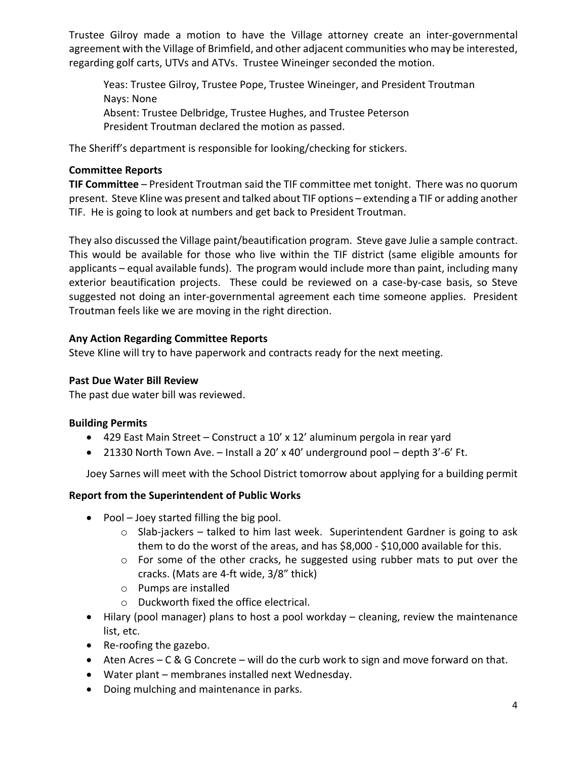Trustee Gilroy made a motion to have the Village attorney create an inter-governmental agreement with the Village of Brimfield, and other adjacent communities who may be interested, regarding golf carts, UTVs and ATVs. Trustee Wineinger seconded the motion.

Yeas: Trustee Gilroy, Trustee Pope, Trustee Wineinger, and President Troutman Nays: None Absent: Trustee Delbridge, Trustee Hughes, and Trustee Peterson President Troutman declared the motion as passed.

The Sheriff's department is responsible for looking/checking for stickers.

# **Committee Reports**

**TIF Committee** – President Troutman said the TIF committee met tonight. There was no quorum present. Steve Kline was present and talked about TIF options – extending a TIF or adding another TIF. He is going to look at numbers and get back to President Troutman.

They also discussed the Village paint/beautification program. Steve gave Julie a sample contract. This would be available for those who live within the TIF district (same eligible amounts for applicants – equal available funds). The program would include more than paint, including many exterior beautification projects. These could be reviewed on a case-by-case basis, so Steve suggested not doing an inter-governmental agreement each time someone applies. President Troutman feels like we are moving in the right direction.

# **Any Action Regarding Committee Reports**

Steve Kline will try to have paperwork and contracts ready for the next meeting.

# **Past Due Water Bill Review**

The past due water bill was reviewed.

# **Building Permits**

- 429 East Main Street Construct a 10' x 12' aluminum pergola in rear yard
- 21330 North Town Ave. Install a 20' x 40' underground pool depth 3'-6' Ft.

Joey Sarnes will meet with the School District tomorrow about applying for a building permit

### **Report from the Superintendent of Public Works**

- Pool Joey started filling the big pool.
	- o Slab-jackers talked to him last week. Superintendent Gardner is going to ask them to do the worst of the areas, and has \$8,000 - \$10,000 available for this.
	- o For some of the other cracks, he suggested using rubber mats to put over the cracks. (Mats are 4-ft wide, 3/8" thick)
	- o Pumps are installed
	- o Duckworth fixed the office electrical.
- Hilary (pool manager) plans to host a pool workday cleaning, review the maintenance list, etc.
- Re-roofing the gazebo.
- Aten Acres C & G Concrete will do the curb work to sign and move forward on that.
- Water plant membranes installed next Wednesday.
- Doing mulching and maintenance in parks.